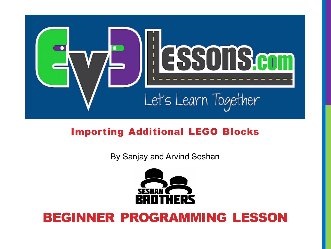

### Importing Additional LEGO Blocks

By Sanjay and Arvind Seshan



### BEGINNER PROGRAMMING LESSON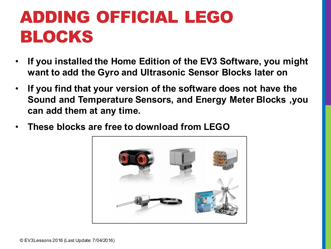# ADDING OFFICIAL LEGO BLOCKS

- **If you installed the Home Edition of the EV3 Software, you might want to add the Gyro and Ultrasonic Sensor Blocks later on**
- **If you find that your version of the software does not have the Sound and Temperature Sensors, and Energy Meter Blocks ,you can add them at any time.**
- **These blocks are free to download from LEGO**

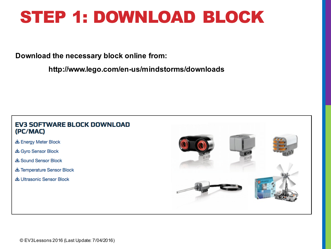## STEP 1: DOWNLOAD BLOCK

#### **Download the necessary block online from:**

**http://www.lego.com/en-us/mindstorms/downloads**

#### **EV3 SOFTWARE BLOCK DOWNLOAD** (PC/MAC)

- **上** Energy Meter Block
- **上 Gyro Sensor Block**
- & Sound Sensor Block
- **上 Temperature Sensor Block**
- 出 Ultrasonic Sensor Block

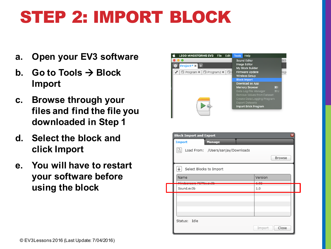# STEP 2: IMPORT BLOCK

- **a. Open your EV3 software**
- **b.** Go to Tools  $\rightarrow$  Block **Import**
- **c. Browse through your files and find the file you downloaded in Step 1**
- **d. Select the block and click Import**
- **e. You will have to restart your software before using the block**



| ×<br><b>Block Import and Export</b>          |               |                       |        |
|----------------------------------------------|---------------|-----------------------|--------|
| <b>Import</b>                                | <b>Manage</b> |                       |        |
| Load From: /Users/sanjay/Downloads<br>Ŀå     |               |                       |        |
|                                              |               |                       | Browse |
| ä.<br>Select Blocks to Import                |               |                       |        |
| Name                                         |               | Version               |        |
| <b>Mindexecution DODNA and</b><br>Sound.ev3b |               | $\overline{1}$<br>1.0 |        |
|                                              |               |                       |        |
|                                              |               |                       |        |
|                                              |               |                       |        |
| Status: Idle                                 |               |                       |        |
|                                              |               | Import                | Close  |